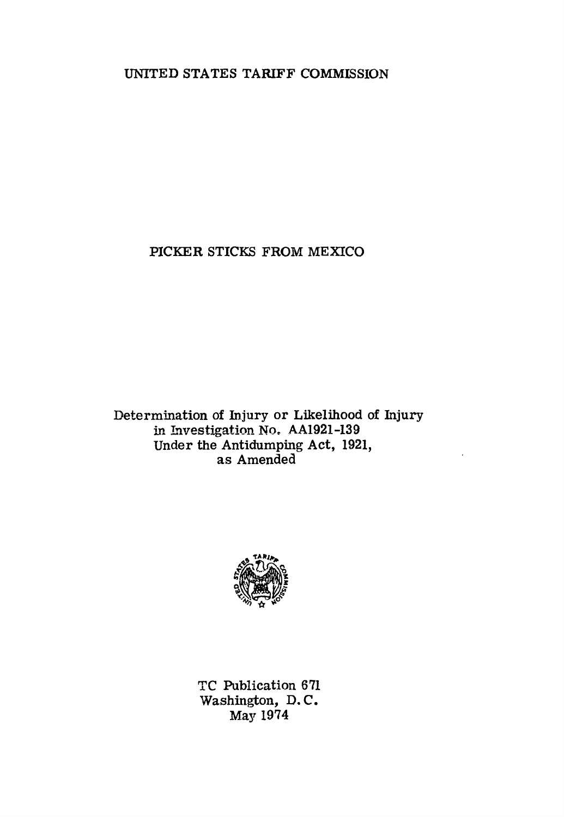UNITED STATES TARIFF COMMISSION

# PICKER STICKS FROM MEXICO

Determination of Injury or Likelihood of Injury in Investigation No. AA1921-139 Under the Antidumping Act, 1921, as Amended



TC Publication 671 Washington, D. C. May 1974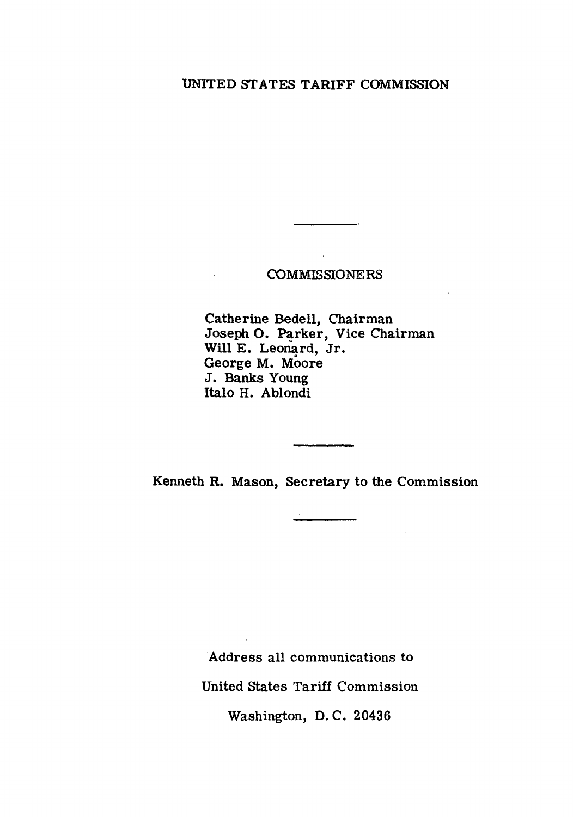## UNITED STATES TARIFF COMMISSION

 $\bar{z}$ 

### COMMISSIONERS

 $\mathcal{L}_{\text{max}}$  and  $\mathcal{L}_{\text{max}}$ 

Catherine Bedell, Chairman Joseph O. Parker, Vice Chairman Will E. Leonard, Jr. George M. Moore J. Banks Young Italo H. Ablondi

Kenneth R. Mason, Secretary to the Commission

Address all communications to United States Tariff Commission Washington, D. C. 20436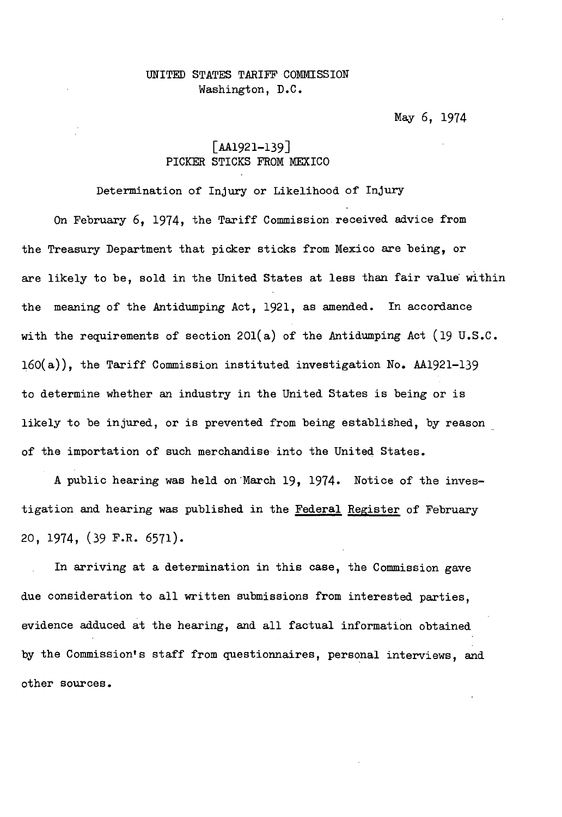May 6, 1974

## [AA1921-139] PICKER STICKS FROM MEXICO

Determination of Injury or Likelihood of Injury

On February 6, 1974, the Tariff Commission received advice from the Treasury Department that picker sticks from Mexico are being, or are likely to be, sold in the United States at less than fair value within the meaning of the Antidumping Act, 1921, as amended. In accordance with the requirements of section 201(a) of the Antidumping Act (19 U.S.C. 160(a)), the Tariff Commission instituted investigation No. AA1921-139 to determine whether an industry in the United States is being or is likely to be injured, or is prevented from being established, by reason of the importation of such merchandise into the United States.

A public hearing was held on·March 19, 1974. Notice of the investigation and hearing was published in the Federal Register of February 20, 1974, (39 F.R. 6571).

In arriving at a determination in this case, the Commission gave due consideration to all written submissions from interested parties, evidence adduced at the hearing, and all factual information obtained by the Commission's staff from questionnaires, personal interviews, and other sources.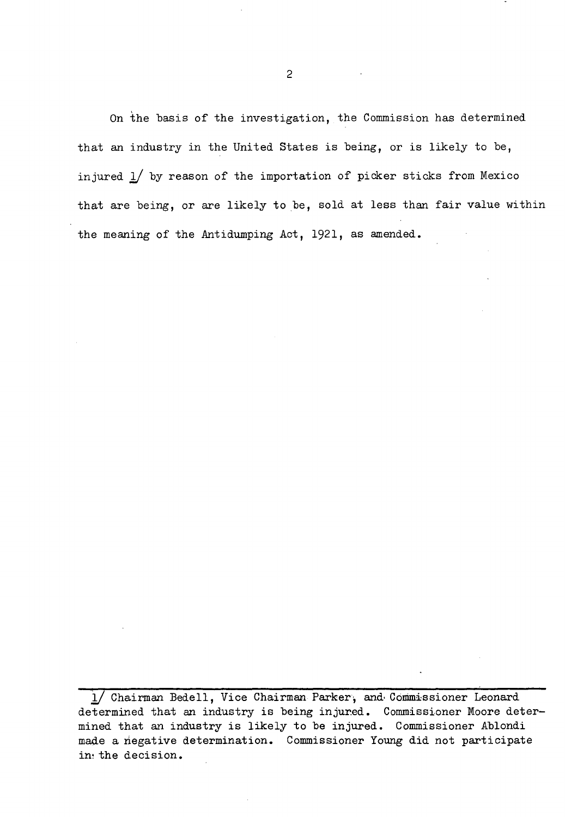On the basis of the investigation, the Commission has determined that an industry in the United States is being, or is likely to be, injured *1)* by reason of the importation of picker sticks from Mexico that are being, or are likely to be, sold at less than fair value within the meaning of the Antidumping Act, 1921, as amended.

1/ Chairman Bedell, Vice Chairman Parker, and Commissioner Leonard determined that an industry is being injured. Commissioner Moore determined that an industry is likely to be injured. Commissioner Ablondi made a negative determination. Commissioner Young did not participate in the decision.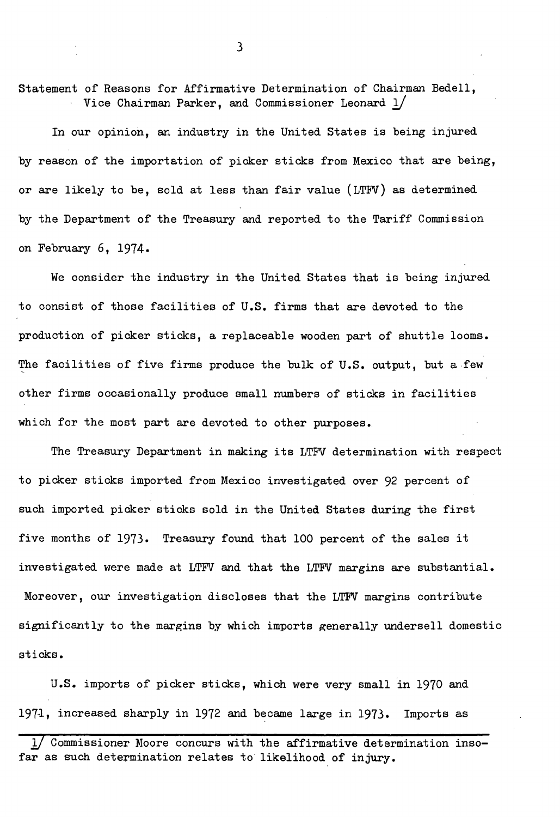Statement of Reasons for Affirmative Determination of Chairman Bedell, Vice Chairman Parker, and Commissioner Leonard *'1/* 

In our opinion, *an* industry in the United States is being injured by reason of the importation of picker sticks from Mexico that are being, or are likely to be, sold at less than fair value (LTFV) as determined by the Department of the Treasury and reported to the Tariff Commission on February 6, 1974.

We consider the industry in the United States that is being injured to consist of those facilities of U.S. firms that are devoted to the production of picker sticks, a replaceable wooden part of shuttle looms. The facilities of five firms produce the bulk of U.S. output, but a few other firms occasionally produce small numbers of sticks in facilities which for the most part are devoted to other purposes.

The Treasury Department in making its LTFV determination with respect to picker sticks imported from Mexico investigated over 92 percent of such imported picker sticks sold in the United States during the first five months of 1973. Treasury found that 100 percent of the sales it investigated were made at LTFV and that the LTFV margins are substantial. Moreover, our investigation discloses that the LTFV margins contribute significantly to the margins by which imports generally undersell domestic sticks.

U.S. imports of picker sticks, which were very small in 1970 and 1971, increased sharply in 1972 and became large in 1973. Imports as

3

<sup>1/</sup> Commissioner Moore concurs with the affirmative determination insofar as such determination relates to likelihood of injury.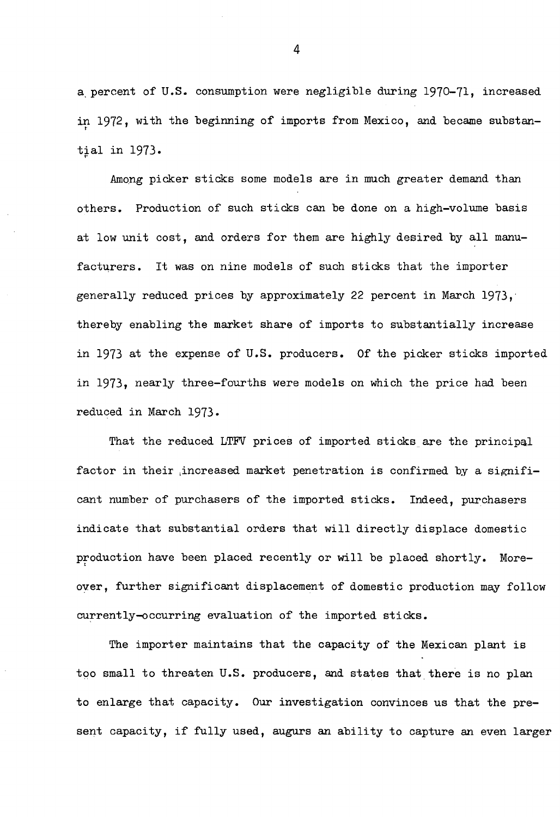a. percent of U.S. consumption were negligible during 1970-71, increased in 1972, with the beginning of imports from Mexico, and became substan $t$ ial in 1973.

Among picker sticks some models are in much greater demand than others. Production of such sticks can be done on a high-volume basis at low unit cost, and orders for them are highly desired by all manufacturers. It was on nine models of such sticks that the importer generally reduced prices by approximately 22 percent in March 1973, thereby enabling the market share of imports to substantially increase in 1973 at the expense of U.S. producers. Of the picker sticks imported in 1973, nearly three-fourths were models on which the price had been reduced in March 1973.

That the reduced LTFV prices of imported sticks are the principal factor in their increased market penetration is confirmed by a significant number of purchasers of the imported sticks. Indeed, purchasers indicate that substantial orders that will directly displace domestic production have been placed recently or will be placed shortly. More- ' over, further significant displacement of domestic production may follow currently-occurring evaluation of the imported sticks.

The importer maintains that the capacity of the Mexican plant is too small to threaten U.S. producers, and states that there is no plan to enlarge that capacity. Our investigation convinces us that the present capacity, if fully used, augurs an ability to capture an even larger

4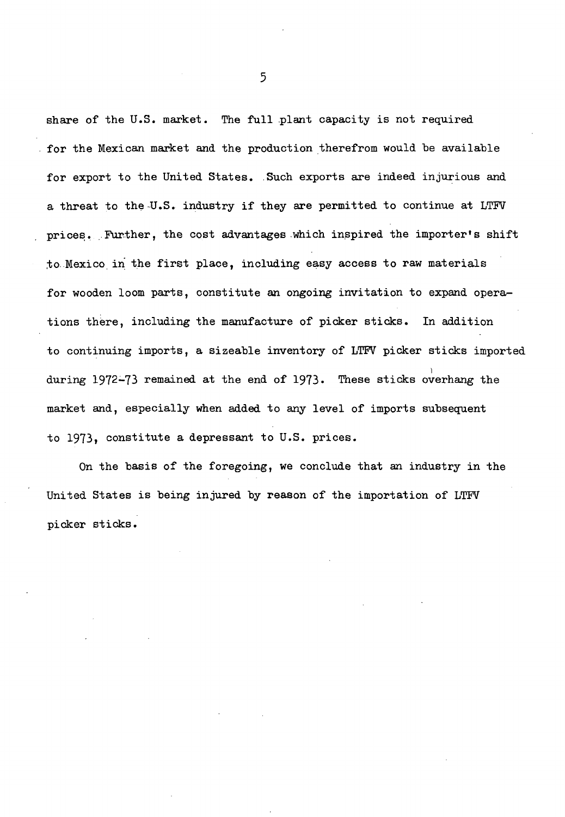share of the U.S. market. The full plant capacity is not required for the Mexican market and the production therefrom would be available for export to the United States. Such exports are indeed injurious and a threat to the U.S. industry if they are permitted to continue at LTFV prices. Further, the cost advantages which inspired the importer's shift ;to. Mexico in the first place, including easy access to raw materials for wooden loom parts, constitute an ongoing invitation to expand operations there, including the manufacture of picker sticks. In addition to continuing imports, a sizeable inventory of LTFV picker sticks imported during 1972–73 remained at the end of 1973. These sticks overhang the market and, especially when added to any level of imports subsequent to 1973, constitute a depressant to U.S. prices.

On the basis of the foregoing, we conclude that an industry in the United States is being injured by reason of the importation of LTFV picker sticks.

5